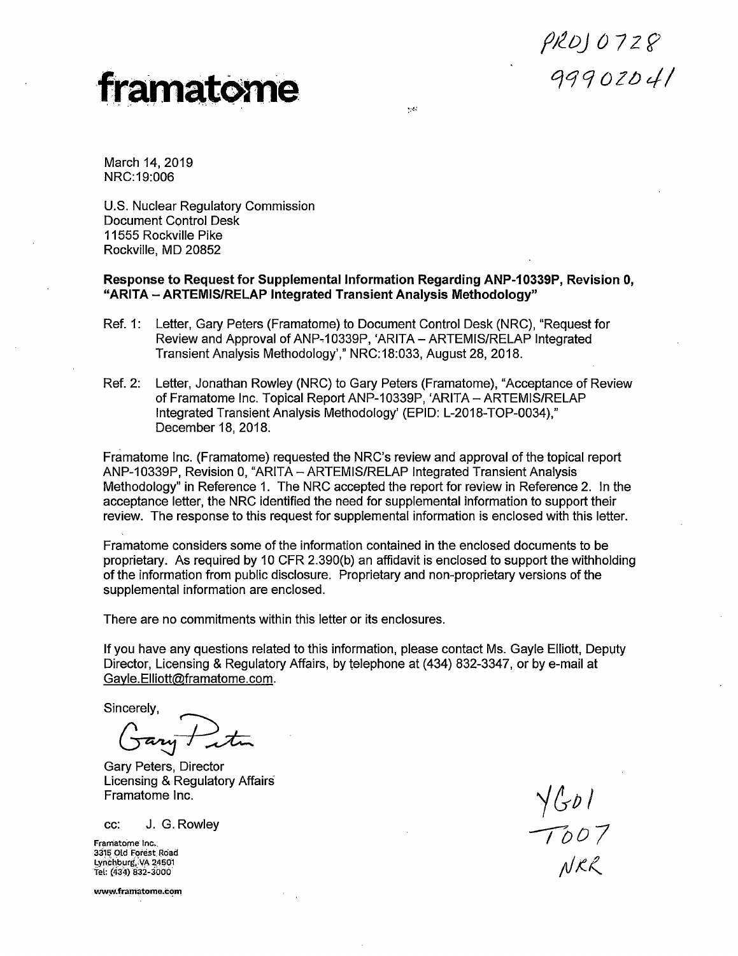*f!<-Dj* O 7 *Z* fJ qqqozorJ/



 $\bar{R}$ 

March 14, 2019 NRC:19:006

U.S. Nuclear Regulatory Commission Document Control Desk 11555 Rockville Pike Rockville, MD 20852

## **Response to Request for Supplemental Information Regarding ANP-10339P, Revision 0, "ARITA -ARTEMIS/RELAP Integrated Transient Analysis Methodology"**

- Ref. 1: Letter, Gary Peters (Framatome) to Document Control Desk (NRC), "Request for Review and Approval of ANP-10339P, 'ARITA - ARTEMIS/RELAP Integrated Transient Analysis Methodology'," NRC:18:033, August 28, 2018.
- Ref. 2: Letter, Jonathan Rowley (NRC) to Gary Peters (Framatome), "Acceptance of Review of Framatome Inc. Topical Report ANP-10339P, 'ARITA-ARTEMIS/RELAP Integrated Transient Analysis Methodology' (EPID: L-2018-TOP-0034)," December 18, 2018.

Framatome Inc. (Framatome) requested the NRC's review and approval of the topical report ANP-10339P, Revision 0, "ARITA-ARTEMIS/RELAP Integrated Transient Analysis Methodology" in Reference 1. The NRC accepted the report for review in Reference 2. In the acceptance letter, the NRC identified the need for supplemental information to support their review. The response to this request for supplemental information is enclosed with this letter.

Framatome considers some of the information contained in the enclosed documents to be proprietary. As required by 10 CFR 2.390(b) an affidavit is enclosed to support the withholding of the information from public disclosure. Proprietary and non-proprietary versions of the supplemental information are enclosed.

There are no commitments within this letter or its enclosures.

If you have any questions related to this information, please contact Ms. Gayle Elliott, Deputy Director, Licensing & Regulatory Affairs, by telephone at (434) 832-3347, or by e-mail at Gayle.Elliott@framatome.com.

Sincerely,

ncerely,  $\int \frac{1}{\pi}$  and  $\int \frac{1}{\pi}$ 

Gary Peters, Director Licensing & Regulatory Affairs Framatome Inc.

cc: J. G. Rowley

Framatome Inc. 3315 Old Forest Road Lync!)burg,.VA 24501 Tel: (434) 832-3000

**WWW.framatome.com** 

 $\frac{1}{1007}$ <br> $\frac{1}{1007}$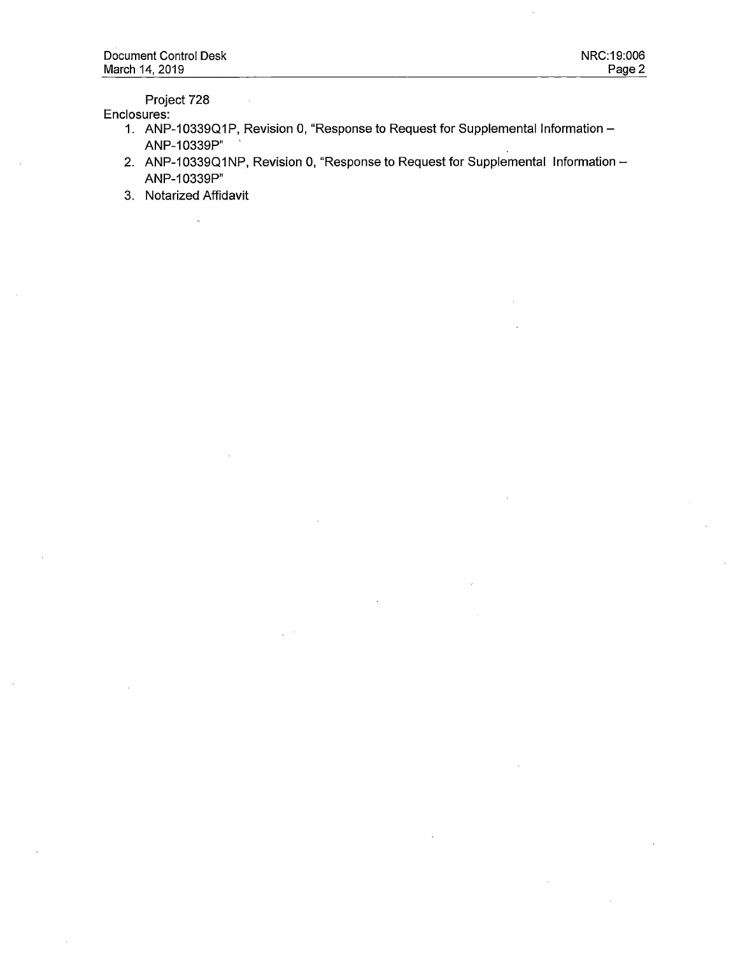Project 728

Enclosures:

- 1. ANP-10339Q1P, Revision 0, "Response to Request for Supplemental Information ANP-10339P"
- 2. ANP-10339Q1NP, Revision 0, "Response to Request for Supplemental Information -ANP-10339P"
- 3. Notarized Affidavit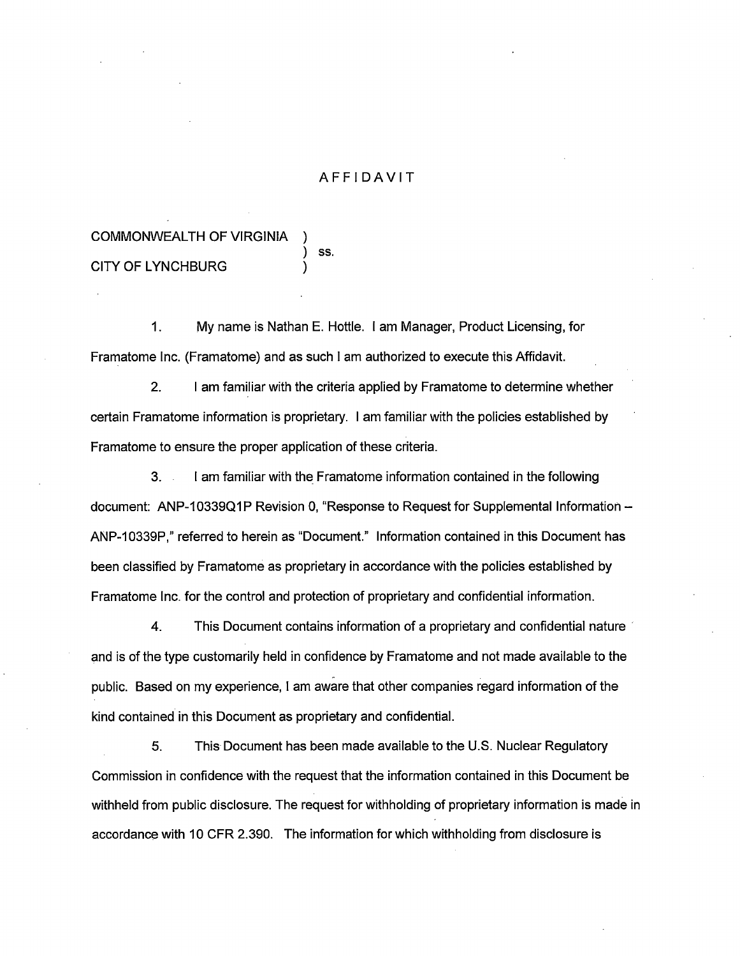## AFFIDAVIT

## COMMONWEALTH OF VIRGINIA **CITY OF LYNCHBURG**

) **55.** 

1. My name is Nathan E. Hottle. I am Manager, Product Licensing, for Framatome Inc. (Framatome) and as such I am authorized to execute this Affidavit.

2. I am familiar with the criteria applied by Framatome to determine whether certain Framatome information is proprietary. I am familiar with the policies established by Framatome to ensure the proper application of these criteria.

3. I am familiar with the Framatome information contained in the following document: ANP-10339Q1P Revision 0, "Response to Request for Supplemental Information - ANP-10339P," referred to herein as "Document." Information contained in this Document has been classified by Framatome as proprietary in accordance with the policies established by Framatome Inc. for the control and protection of proprietary and confidential information.

4. This Document contains information of a proprietary and confidential nature · and is of the type customarily held in confidence by Framatome and not made available to the public. Based on my experience, I am aware that other companies regard information of the kind contained in this Document as proprietary and confidential.

5. This Document has been made available to the U.S. Nuclear Regulatory Commission in confidence with the request that the information contained in this Document be withheld from public disclosure. The request for withholding of proprietary information is made in accordance with 10 CFR 2.390. The information for which withholding from disclosure is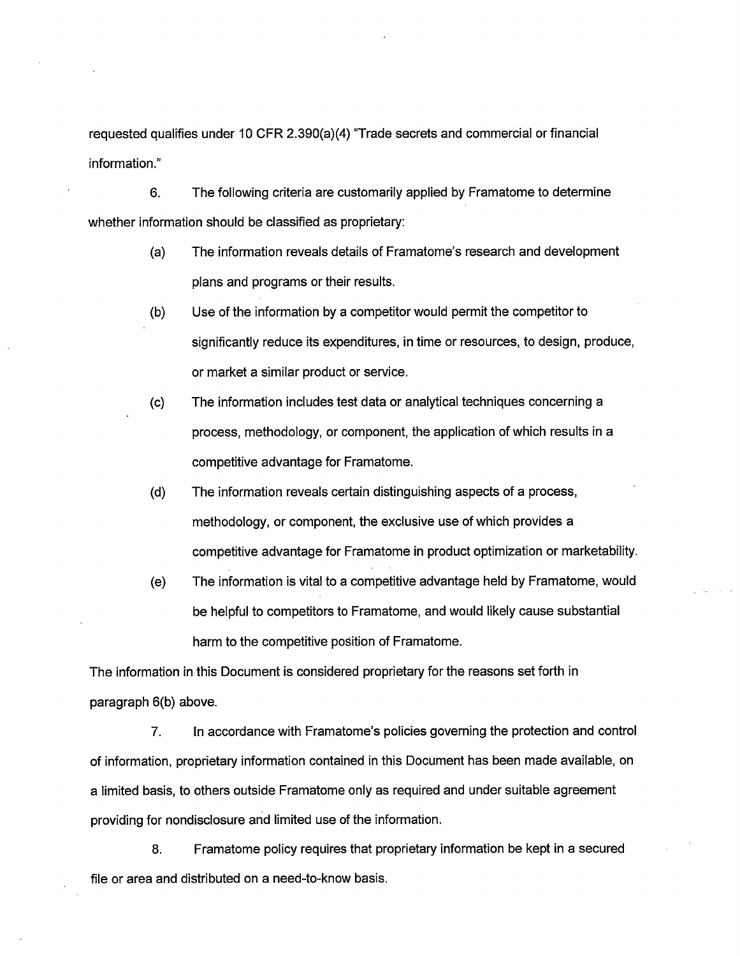requested qualifies under 10 CFR 2.390(a)(4) "Trade secrets and commercial or financial information."

6. The following criteria are customarily applied by Framatome to determine whether information should be classified as proprietary:

- (a) The information reveals details of Framatome's research and development plans and programs or their results.
- (b) Use of the information by a competitor would permit the competitor to significantly reduce its expenditures, in time or resources, to design, produce, or market a similar product or service.
- (c) The information includes test data or analytical techniques concerning a process, methodology, or component, the application of which results in <sup>a</sup> competitive advantage for Framatome.
- (d) The information reveals certain distinguishing aspects of a process, methodology, or component, the exclusive use of which provides a competitive advantage for Framatome in product optimization or marketability.
- (e) The information is vital to a competitive advantage held by Framatome, would be helpful to competitors to Framatome, and would likely cause substantial harm to the competitive position of Framatome.

The information in this Document is considered proprietary for the reasons set forth in paragraph 6(b) above.

7. In accordance with Framatome's policies governing the protection and control of information, proprietary information contained in this Document has been made available, on a limited basis, to others outside Framatome only as required and under suitable agreement providing for nondisclosure and limited use of the information.

8. Framatome policy requires that proprietary information be kept in a secured file or area and distributed on a need-to-know basis.